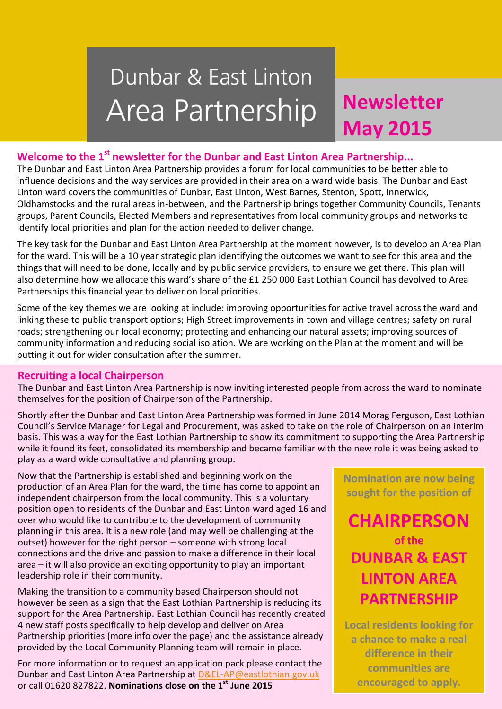# Dunbar & East Linton Area Partnership

## **Newsletter Newsletter April 2015 May 2015**

### **Welcome to the 1st newsletter for the Dunbar and East Linton Area Partnership...**

The Dunbar and East Linton Area Partnership provides a forum for local communities to be better able to influence decisions and the way services are provided in their area on a ward wide basis. The Dunbar and East Linton ward covers the communities of Dunbar, East Linton, West Barnes, Stenton, Spott, Innerwick, Oldhamstocks and the rural areas in-between, and the Partnership brings together Community Councils, Tenants groups, Parent Councils, Elected Members and representatives from local community groups and networks to identify local priorities and plan for the action needed to deliver change.

The key task for the Dunbar and East Linton Area Partnership at the moment however, is to develop an Area Plan for the ward. This will be a 10 year strategic plan identifying the outcomes we want to see for this area and the things that will need to be done, locally and by public service providers, to ensure we get there. This plan will also determine how we allocate this ward's share of the £1 250 000 East Lothian Council has devolved to Area Partnerships this financial year to deliver on local priorities.

Some of the key themes we are looking at include: improving opportunities for active travel across the ward and linking these to public transport options; High Street improvements in town and village centres; safety on rural roads; strengthening our local economy; protecting and enhancing our natural assets; improving sources of community information and reducing social isolation. We are working on the Plan at the moment and will be putting it out for wider consultation after the summer.

#### **Recruiting a local Chairperson**

The Dunbar and East Linton Area Partnership is now inviting interested people from across the ward to nominate themselves for the position of Chairperson of the Partnership.

Shortly after the Dunbar and East Linton Area Partnership was formed in June 2014 Morag Ferguson, East Lothian Council's Service Manager for Legal and Procurement, was asked to take on the role of Chairperson on an interim basis. This was a way for the East Lothian Partnership to show its commitment to supporting the Area Partnership while it found its feet, consolidated its membership and became familiar with the new role it was being asked to play as a ward wide consultative and planning group.

Now that the Partnership is established and beginning work on the production of an Area Plan for the ward, the time has come to appoint an independent chairperson from the local community. This is a voluntary position open to residents of the Dunbar and East Linton ward aged 16 and over who would like to contribute to the development of community planning in this area. It is a new role (and may well be challenging at the outset) however for the right person – someone with strong local connections and the drive and passion to make a difference in their local area – it will also provide an exciting opportunity to play an important leadership role in their community.

Making the transition to a community based Chairperson should not however be seen as a sign that the East Lothian Partnership is reducing its support for the Area Partnership. East Lothian Council has recently created 4 new staff posts specifically to help develop and deliver on Area Partnership priorities (more info over the page) and the assistance already provided by the Local Community Planning team will remain in place.

For more information or to request an application pack please contact the Dunbar and East Linton Area Partnership at [D&EL-AP@eastlothian.gov.uk](mailto:D&EL-AP@eastlothian.gov.uk) or call 01620 827822. **Nominations close on the 1st June 2015**

**Nomination are now being sought for the position of**

**CHAIRPERSON of the DUNBAR & EAST LINTON AREA PARTNERSHIP**

**Local residents looking for a chance to make a real difference in their communities are encouraged to apply.**